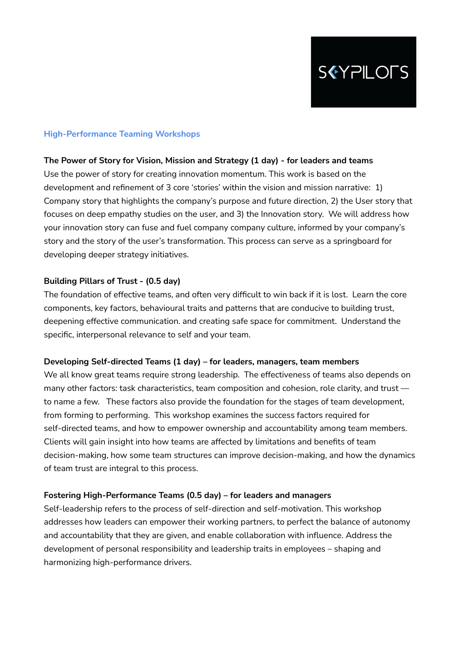

# **High-Performance Teaming Workshops**

### **The Power of Story for Vision, Mission and Strategy (1 day) - for leaders and teams**

Use the power of story for creating innovation momentum. This work is based on the development and refinement of 3 core 'stories' within the vision and mission narrative: 1) Company story that highlights the company's purpose and future direction, 2) the User story that focuses on deep empathy studies on the user, and 3) the Innovation story. We will address how your innovation story can fuse and fuel company company culture, informed by your company's story and the story of the user's transformation. This process can serve as a springboard for developing deeper strategy initiatives.

### **Building Pillars of Trust - (0.5 day)**

The foundation of effective teams, and often very difficult to win back if it is lost. Learn the core components, key factors, behavioural traits and patterns that are conducive to building trust, deepening effective communication. and creating safe space for commitment. Understand the specific, interpersonal relevance to self and your team.

#### **Developing Self-directed Teams (1 day) – for leaders, managers, team members**

We all know great teams require strong leadership. The effectiveness of teams also depends on many other factors: task characteristics, team composition and cohesion, role clarity, and trust to name a few. These factors also provide the foundation for the stages of team development, from forming to performing. This workshop examines the success factors required for self-directed teams, and how to empower ownership and accountability among team members. Clients will gain insight into how teams are affected by limitations and benefits of team decision-making, how some team structures can improve decision-making, and how the dynamics of team trust are integral to this process.

#### **Fostering High-Performance Teams (0.5 day) – for leaders and managers**

Self-leadership refers to the process of self-direction and self-motivation. This workshop addresses how leaders can empower their working partners, to perfect the balance of autonomy and accountability that they are given, and enable collaboration with influence. Address the development of personal responsibility and leadership traits in employees – shaping and harmonizing high-performance drivers.